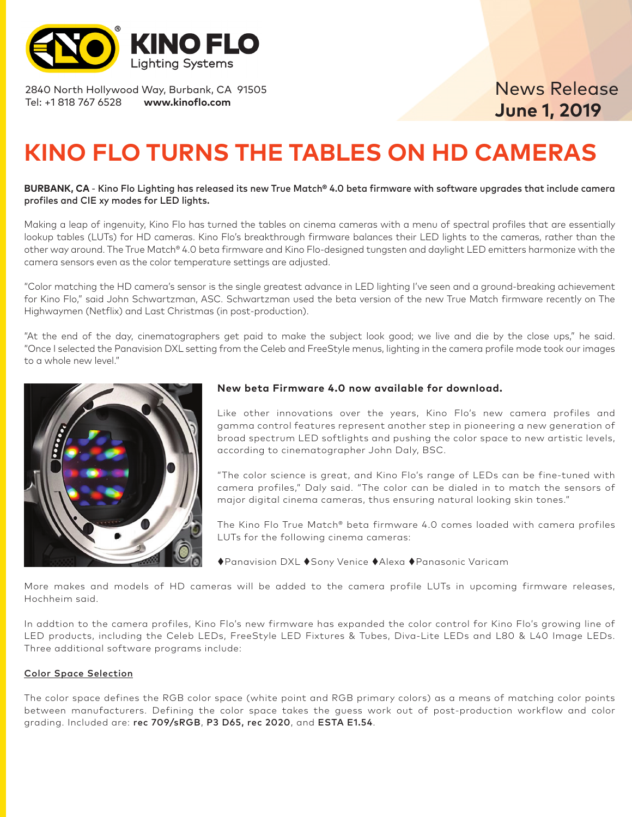

2840 North Hollywood Way, Burbank, CA 91505 Tel: +1 818 767 6528 **www.kinoflo.com**

## News Release **June 1, 2019**

# **KINO FLO TURNS THE TABLES ON HD CAMERAS**

#### **BURBANK, CA** - Kino Flo Lighting has released its new [True Match® 4.0 beta firmware w](https://www.kinoflo.com/Products%20Button/LED/TrueMatch_Firmware/TrueMatch_Firmware.html)ith software upgrades that include camera profiles and CIE xy modes for LED lights.

Making a leap of ingenuity, Kino Flo has turned the tables on cinema cameras with a menu of spectral profiles that are essentially lookup tables (LUTs) for HD cameras. Kino Flo's breakthrough firmware balances their LED lights to the cameras, rather than the other way around. The True Match® 4.0 beta firmware and Kino Flo-designed tungsten and daylight LED emitters harmonize with the camera sensors even as the color temperature settings are adjusted.

"Color matching the HD camera's sensor is the single greatest advance in LED lighting I've seen and a ground-breaking achievement for Kino Flo," said John Schwartzman, ASC. Schwartzman used the beta version of the new True Match firmware recently on The Highwaymen (Netflix) and Last Christmas (in post-production).

"At the end of the day, cinematographers get paid to make the subject look good; we live and die by the close ups," he said. "Once I selected the Panavision DXL setting from the Celeb and FreeStyle menus, lighting in the camera profile mode took our images to a whole new level."



### **[New beta Firmware 4.0 now available for download.](https://www.kinoflo.com/Products%20Button/LED/TrueMatch_Firmware/TrueMatch_Firmware.html)**

Like other innovations over the years, Kino Flo's new camera profiles and gamma control features represent another step in pioneering a new generation of broad spectrum LED softlights and pushing the color space to new artistic levels, according to cinematographer John Daly, BSC.

"The color science is great, and Kino Flo's range of LEDs can be fine-tuned with camera profiles," Daly said. "The color can be dialed in to match the sensors of major digital cinema cameras, thus ensuring natural looking skin tones."

The Kino Flo True Match® beta firmware 4.0 comes loaded with camera profiles LUTs for the following cinema cameras:

◆ Panavision DXL ◆ Sony Venice ◆ Alexa ◆ Panasonic Varicam

More makes and models of HD cameras will be added to the camera profile LUTs in upcoming firmware releases, Hochheim said.

In addtion to the camera profiles, Kino Flo's new firmware has expanded the color control for Kino Flo's growing line of LED products, including the Celeb LEDs, FreeStyle LED Fixtures & Tubes, Diva-Lite LEDs and L80 & L40 Image LEDs. Three additional software programs include:

#### Color Space Selection

The color space defines the RGB color space (white point and RGB primary colors) as a means of matching color points between manufacturers. Defining the color space takes the guess work out of post-production workflow and color grading. Included are: rec 709/sRGB, P3 D65, rec 2020, and ESTA E1.54.